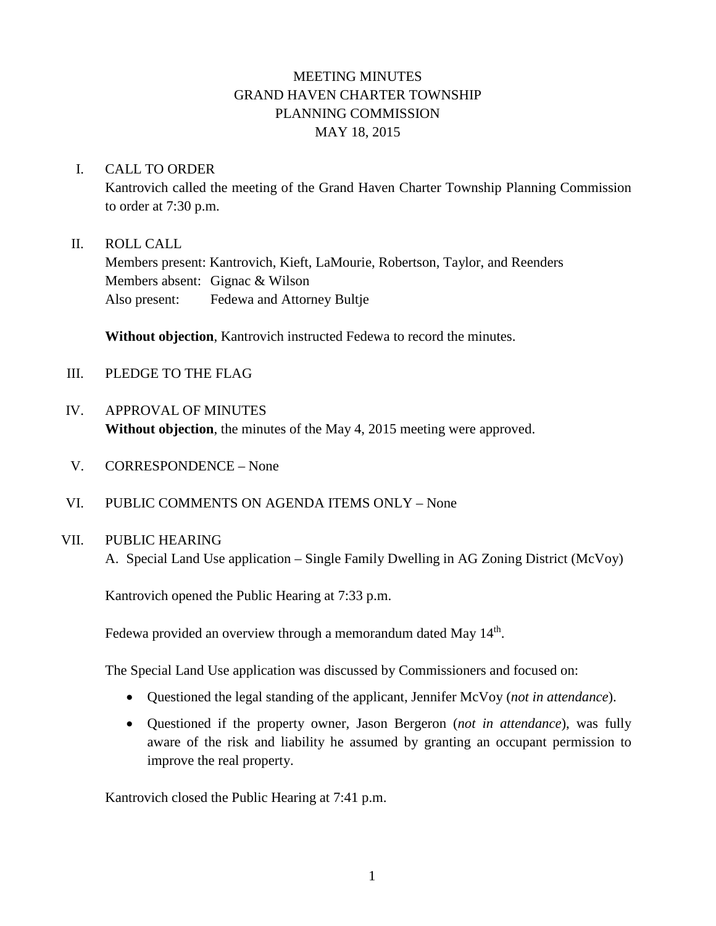# MEETING MINUTES GRAND HAVEN CHARTER TOWNSHIP PLANNING COMMISSION MAY 18, 2015

### I. CALL TO ORDER

Kantrovich called the meeting of the Grand Haven Charter Township Planning Commission to order at 7:30 p.m.

### II. ROLL CALL

Members present: Kantrovich, Kieft, LaMourie, Robertson, Taylor, and Reenders Members absent: Gignac & Wilson Also present: Fedewa and Attorney Bultje

**Without objection**, Kantrovich instructed Fedewa to record the minutes.

- III. PLEDGE TO THE FLAG
- IV. APPROVAL OF MINUTES **Without objection**, the minutes of the May 4, 2015 meeting were approved.
- V. CORRESPONDENCE None
- VI. PUBLIC COMMENTS ON AGENDA ITEMS ONLY None

## VII. PUBLIC HEARING

A. Special Land Use application – Single Family Dwelling in AG Zoning District (McVoy)

Kantrovich opened the Public Hearing at 7:33 p.m.

Fedewa provided an overview through a memorandum dated May 14<sup>th</sup>.

The Special Land Use application was discussed by Commissioners and focused on:

- Questioned the legal standing of the applicant, Jennifer McVoy (*not in attendance*).
- Questioned if the property owner, Jason Bergeron (*not in attendance*), was fully aware of the risk and liability he assumed by granting an occupant permission to improve the real property.

Kantrovich closed the Public Hearing at 7:41 p.m.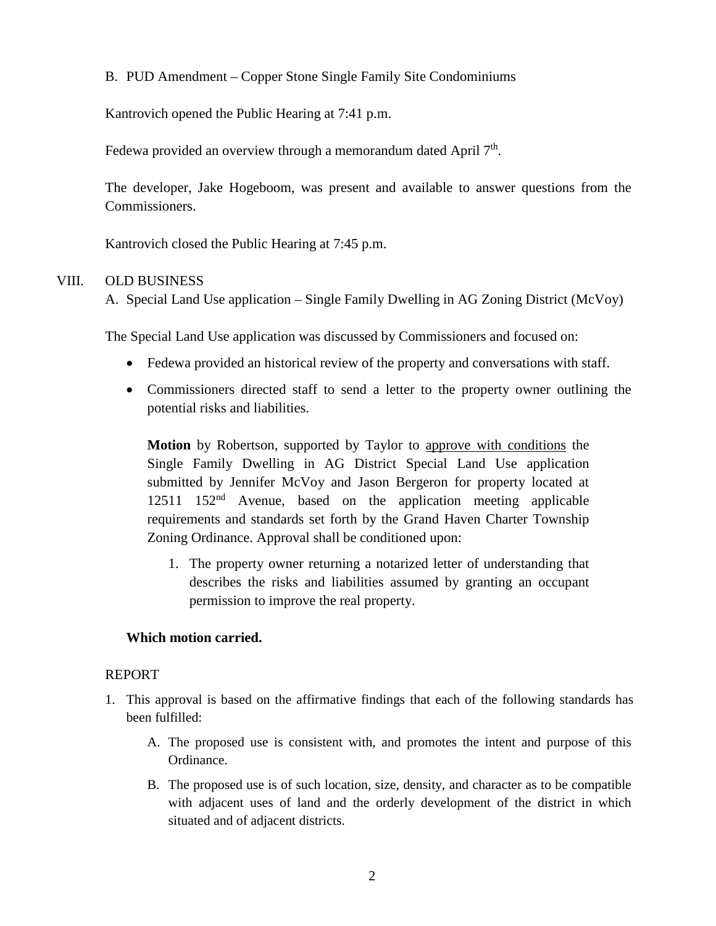B. PUD Amendment – Copper Stone Single Family Site Condominiums

Kantrovich opened the Public Hearing at 7:41 p.m.

Fedewa provided an overview through a memorandum dated April  $7<sup>th</sup>$ .

The developer, Jake Hogeboom, was present and available to answer questions from the Commissioners.

Kantrovich closed the Public Hearing at 7:45 p.m.

### VIII. OLD BUSINESS

A. Special Land Use application – Single Family Dwelling in AG Zoning District (McVoy)

The Special Land Use application was discussed by Commissioners and focused on:

- Fedewa provided an historical review of the property and conversations with staff.
- Commissioners directed staff to send a letter to the property owner outlining the potential risks and liabilities.

**Motion** by Robertson, supported by Taylor to approve with conditions the Single Family Dwelling in AG District Special Land Use application submitted by Jennifer McVoy and Jason Bergeron for property located at  $12511 \quad 152<sup>nd</sup>$  Avenue, based on the application meeting applicable requirements and standards set forth by the Grand Haven Charter Township Zoning Ordinance. Approval shall be conditioned upon:

1. The property owner returning a notarized letter of understanding that describes the risks and liabilities assumed by granting an occupant permission to improve the real property.

### **Which motion carried.**

### REPORT

- 1. This approval is based on the affirmative findings that each of the following standards has been fulfilled:
	- A. The proposed use is consistent with, and promotes the intent and purpose of this Ordinance.
	- B. The proposed use is of such location, size, density, and character as to be compatible with adjacent uses of land and the orderly development of the district in which situated and of adjacent districts.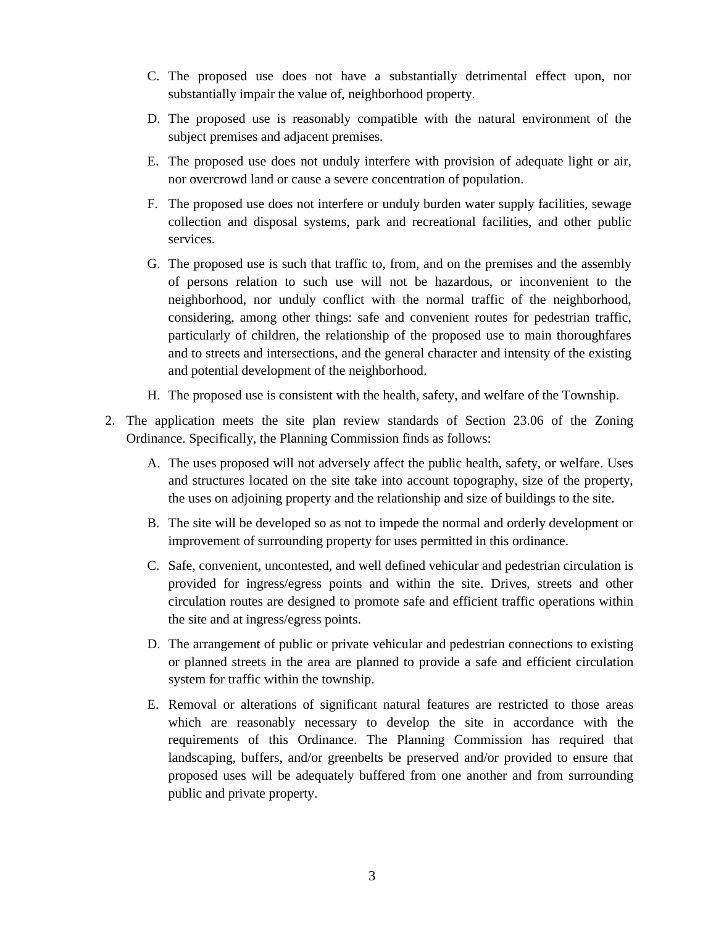- C. The proposed use does not have a substantially detrimental effect upon, nor substantially impair the value of, neighborhood property.
- D. The proposed use is reasonably compatible with the natural environment of the subject premises and adjacent premises.
- E. The proposed use does not unduly interfere with provision of adequate light or air, nor overcrowd land or cause a severe concentration of population.
- F. The proposed use does not interfere or unduly burden water supply facilities, sewage collection and disposal systems, park and recreational facilities, and other public services.
- G. The proposed use is such that traffic to, from, and on the premises and the assembly of persons relation to such use will not be hazardous, or inconvenient to the neighborhood, nor unduly conflict with the normal traffic of the neighborhood, considering, among other things: safe and convenient routes for pedestrian traffic, particularly of children, the relationship of the proposed use to main thoroughfares and to streets and intersections, and the general character and intensity of the existing and potential development of the neighborhood.
- H. The proposed use is consistent with the health, safety, and welfare of the Township.
- 2. The application meets the site plan review standards of Section 23.06 of the Zoning Ordinance. Specifically, the Planning Commission finds as follows:
	- A. The uses proposed will not adversely affect the public health, safety, or welfare. Uses and structures located on the site take into account topography, size of the property, the uses on adjoining property and the relationship and size of buildings to the site.
	- B. The site will be developed so as not to impede the normal and orderly development or improvement of surrounding property for uses permitted in this ordinance.
	- C. Safe, convenient, uncontested, and well defined vehicular and pedestrian circulation is provided for ingress/egress points and within the site. Drives, streets and other circulation routes are designed to promote safe and efficient traffic operations within the site and at ingress/egress points.
	- D. The arrangement of public or private vehicular and pedestrian connections to existing or planned streets in the area are planned to provide a safe and efficient circulation system for traffic within the township.
	- E. Removal or alterations of significant natural features are restricted to those areas which are reasonably necessary to develop the site in accordance with the requirements of this Ordinance. The Planning Commission has required that landscaping, buffers, and/or greenbelts be preserved and/or provided to ensure that proposed uses will be adequately buffered from one another and from surrounding public and private property.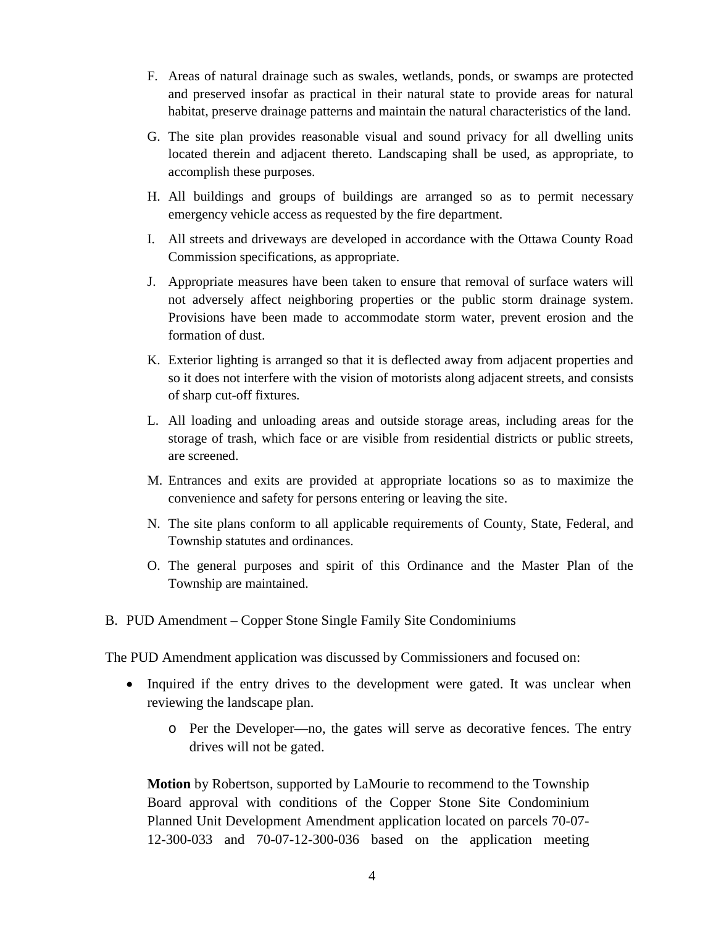- F. Areas of natural drainage such as swales, wetlands, ponds, or swamps are protected and preserved insofar as practical in their natural state to provide areas for natural habitat, preserve drainage patterns and maintain the natural characteristics of the land.
- G. The site plan provides reasonable visual and sound privacy for all dwelling units located therein and adjacent thereto. Landscaping shall be used, as appropriate, to accomplish these purposes.
- H. All buildings and groups of buildings are arranged so as to permit necessary emergency vehicle access as requested by the fire department.
- I. All streets and driveways are developed in accordance with the Ottawa County Road Commission specifications, as appropriate.
- J. Appropriate measures have been taken to ensure that removal of surface waters will not adversely affect neighboring properties or the public storm drainage system. Provisions have been made to accommodate storm water, prevent erosion and the formation of dust.
- K. Exterior lighting is arranged so that it is deflected away from adjacent properties and so it does not interfere with the vision of motorists along adjacent streets, and consists of sharp cut-off fixtures.
- L. All loading and unloading areas and outside storage areas, including areas for the storage of trash, which face or are visible from residential districts or public streets, are screened.
- M. Entrances and exits are provided at appropriate locations so as to maximize the convenience and safety for persons entering or leaving the site.
- N. The site plans conform to all applicable requirements of County, State, Federal, and Township statutes and ordinances.
- O. The general purposes and spirit of this Ordinance and the Master Plan of the Township are maintained.
- B. PUD Amendment Copper Stone Single Family Site Condominiums

The PUD Amendment application was discussed by Commissioners and focused on:

- Inquired if the entry drives to the development were gated. It was unclear when reviewing the landscape plan.
	- o Per the Developer—no, the gates will serve as decorative fences. The entry drives will not be gated.

**Motion** by Robertson, supported by LaMourie to recommend to the Township Board approval with conditions of the Copper Stone Site Condominium Planned Unit Development Amendment application located on parcels 70-07- 12-300-033 and 70-07-12-300-036 based on the application meeting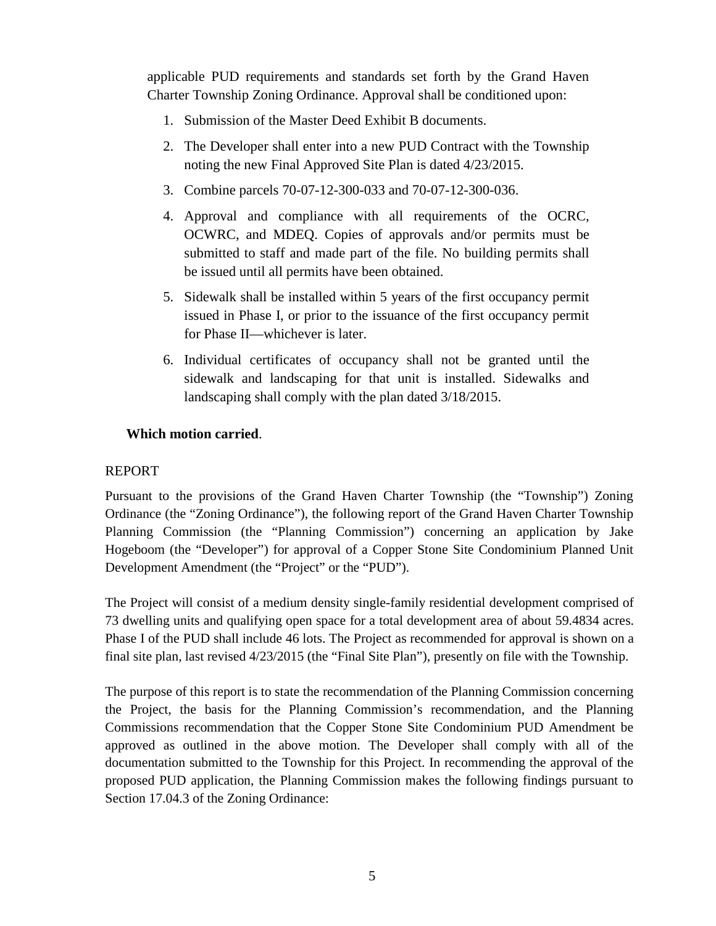applicable PUD requirements and standards set forth by the Grand Haven Charter Township Zoning Ordinance. Approval shall be conditioned upon:

- 1. Submission of the Master Deed Exhibit B documents.
- 2. The Developer shall enter into a new PUD Contract with the Township noting the new Final Approved Site Plan is dated 4/23/2015.
- 3. Combine parcels 70-07-12-300-033 and 70-07-12-300-036.
- 4. Approval and compliance with all requirements of the OCRC, OCWRC, and MDEQ. Copies of approvals and/or permits must be submitted to staff and made part of the file. No building permits shall be issued until all permits have been obtained.
- 5. Sidewalk shall be installed within 5 years of the first occupancy permit issued in Phase I, or prior to the issuance of the first occupancy permit for Phase II—whichever is later.
- 6. Individual certificates of occupancy shall not be granted until the sidewalk and landscaping for that unit is installed. Sidewalks and landscaping shall comply with the plan dated 3/18/2015.

### **Which motion carried**.

### REPORT

Pursuant to the provisions of the Grand Haven Charter Township (the "Township") Zoning Ordinance (the "Zoning Ordinance"), the following report of the Grand Haven Charter Township Planning Commission (the "Planning Commission") concerning an application by Jake Hogeboom (the "Developer") for approval of a Copper Stone Site Condominium Planned Unit Development Amendment (the "Project" or the "PUD").

The Project will consist of a medium density single-family residential development comprised of 73 dwelling units and qualifying open space for a total development area of about 59.4834 acres. Phase I of the PUD shall include 46 lots. The Project as recommended for approval is shown on a final site plan, last revised 4/23/2015 (the "Final Site Plan"), presently on file with the Township.

The purpose of this report is to state the recommendation of the Planning Commission concerning the Project, the basis for the Planning Commission's recommendation, and the Planning Commissions recommendation that the Copper Stone Site Condominium PUD Amendment be approved as outlined in the above motion. The Developer shall comply with all of the documentation submitted to the Township for this Project. In recommending the approval of the proposed PUD application, the Planning Commission makes the following findings pursuant to Section 17.04.3 of the Zoning Ordinance: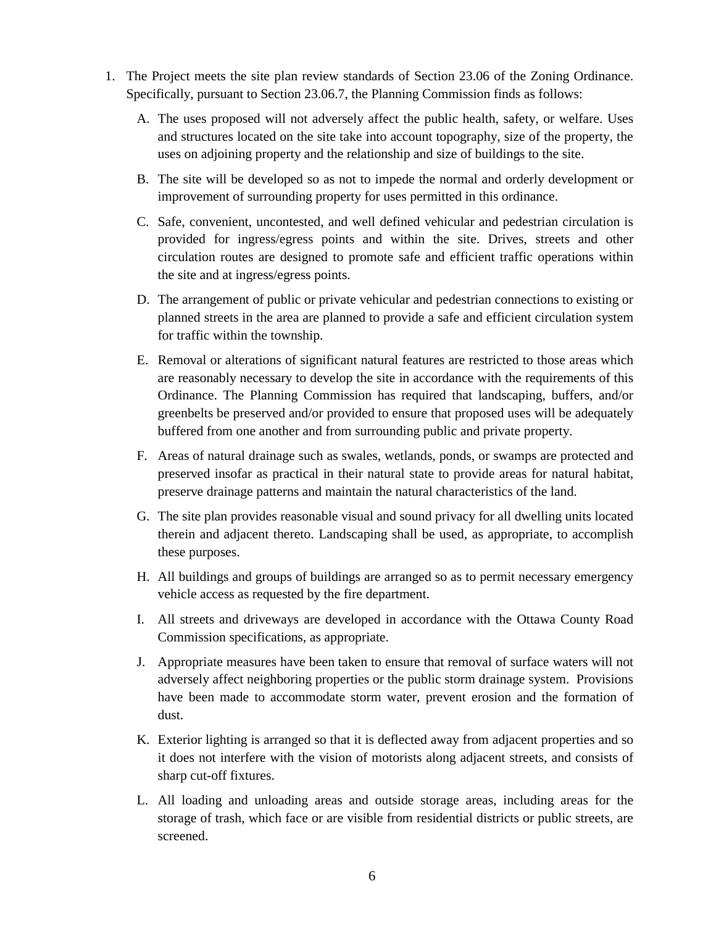- 1. The Project meets the site plan review standards of Section 23.06 of the Zoning Ordinance. Specifically, pursuant to Section 23.06.7, the Planning Commission finds as follows:
	- A. The uses proposed will not adversely affect the public health, safety, or welfare. Uses and structures located on the site take into account topography, size of the property, the uses on adjoining property and the relationship and size of buildings to the site.
	- B. The site will be developed so as not to impede the normal and orderly development or improvement of surrounding property for uses permitted in this ordinance.
	- C. Safe, convenient, uncontested, and well defined vehicular and pedestrian circulation is provided for ingress/egress points and within the site. Drives, streets and other circulation routes are designed to promote safe and efficient traffic operations within the site and at ingress/egress points.
	- D. The arrangement of public or private vehicular and pedestrian connections to existing or planned streets in the area are planned to provide a safe and efficient circulation system for traffic within the township.
	- E. Removal or alterations of significant natural features are restricted to those areas which are reasonably necessary to develop the site in accordance with the requirements of this Ordinance. The Planning Commission has required that landscaping, buffers, and/or greenbelts be preserved and/or provided to ensure that proposed uses will be adequately buffered from one another and from surrounding public and private property.
	- F. Areas of natural drainage such as swales, wetlands, ponds, or swamps are protected and preserved insofar as practical in their natural state to provide areas for natural habitat, preserve drainage patterns and maintain the natural characteristics of the land.
	- G. The site plan provides reasonable visual and sound privacy for all dwelling units located therein and adjacent thereto. Landscaping shall be used, as appropriate, to accomplish these purposes.
	- H. All buildings and groups of buildings are arranged so as to permit necessary emergency vehicle access as requested by the fire department.
	- I. All streets and driveways are developed in accordance with the Ottawa County Road Commission specifications, as appropriate.
	- J. Appropriate measures have been taken to ensure that removal of surface waters will not adversely affect neighboring properties or the public storm drainage system. Provisions have been made to accommodate storm water, prevent erosion and the formation of dust.
	- K. Exterior lighting is arranged so that it is deflected away from adjacent properties and so it does not interfere with the vision of motorists along adjacent streets, and consists of sharp cut-off fixtures.
	- L. All loading and unloading areas and outside storage areas, including areas for the storage of trash, which face or are visible from residential districts or public streets, are screened.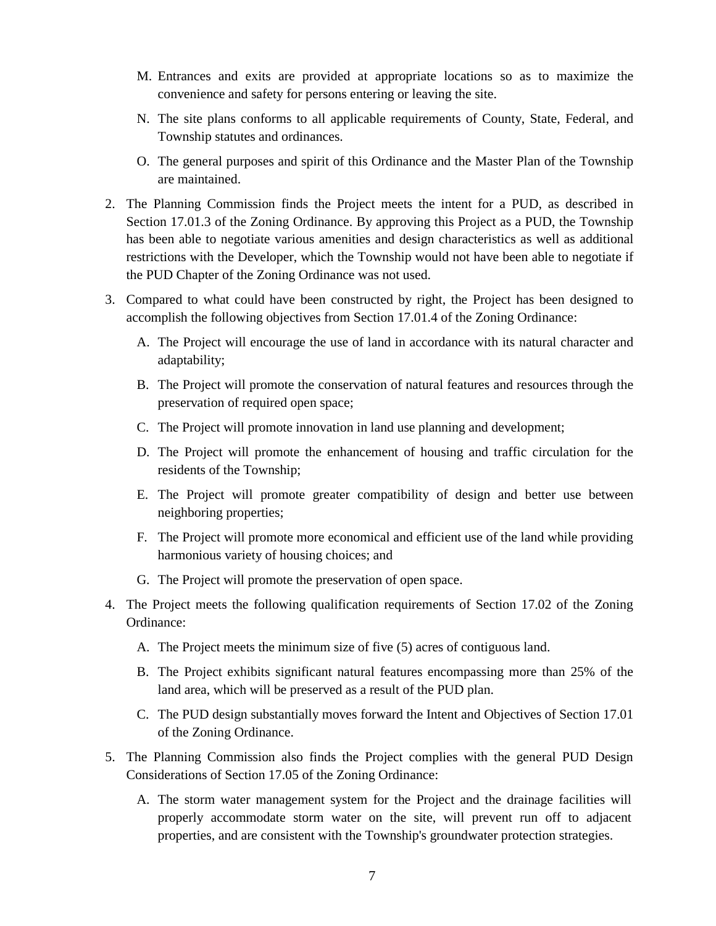- M. Entrances and exits are provided at appropriate locations so as to maximize the convenience and safety for persons entering or leaving the site.
- N. The site plans conforms to all applicable requirements of County, State, Federal, and Township statutes and ordinances.
- O. The general purposes and spirit of this Ordinance and the Master Plan of the Township are maintained.
- 2. The Planning Commission finds the Project meets the intent for a PUD, as described in Section 17.01.3 of the Zoning Ordinance. By approving this Project as a PUD, the Township has been able to negotiate various amenities and design characteristics as well as additional restrictions with the Developer, which the Township would not have been able to negotiate if the PUD Chapter of the Zoning Ordinance was not used.
- 3. Compared to what could have been constructed by right, the Project has been designed to accomplish the following objectives from Section 17.01.4 of the Zoning Ordinance:
	- A. The Project will encourage the use of land in accordance with its natural character and adaptability;
	- B. The Project will promote the conservation of natural features and resources through the preservation of required open space;
	- C. The Project will promote innovation in land use planning and development;
	- D. The Project will promote the enhancement of housing and traffic circulation for the residents of the Township;
	- E. The Project will promote greater compatibility of design and better use between neighboring properties;
	- F. The Project will promote more economical and efficient use of the land while providing harmonious variety of housing choices; and
	- G. The Project will promote the preservation of open space.
- 4. The Project meets the following qualification requirements of Section 17.02 of the Zoning Ordinance:
	- A. The Project meets the minimum size of five (5) acres of contiguous land.
	- B. The Project exhibits significant natural features encompassing more than 25% of the land area, which will be preserved as a result of the PUD plan.
	- C. The PUD design substantially moves forward the Intent and Objectives of Section 17.01 of the Zoning Ordinance.
- 5. The Planning Commission also finds the Project complies with the general PUD Design Considerations of Section 17.05 of the Zoning Ordinance:
	- A. The storm water management system for the Project and the drainage facilities will properly accommodate storm water on the site, will prevent run off to adjacent properties, and are consistent with the Township's groundwater protection strategies.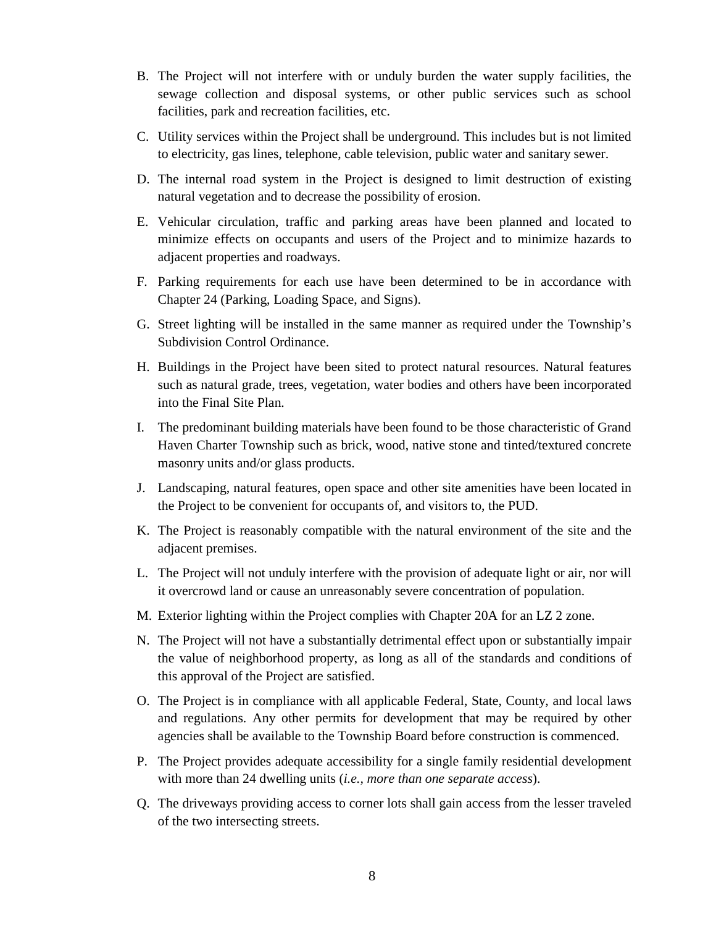- B. The Project will not interfere with or unduly burden the water supply facilities, the sewage collection and disposal systems, or other public services such as school facilities, park and recreation facilities, etc.
- C. Utility services within the Project shall be underground. This includes but is not limited to electricity, gas lines, telephone, cable television, public water and sanitary sewer.
- D. The internal road system in the Project is designed to limit destruction of existing natural vegetation and to decrease the possibility of erosion.
- E. Vehicular circulation, traffic and parking areas have been planned and located to minimize effects on occupants and users of the Project and to minimize hazards to adjacent properties and roadways.
- F. Parking requirements for each use have been determined to be in accordance with Chapter 24 (Parking, Loading Space, and Signs).
- G. Street lighting will be installed in the same manner as required under the Township's Subdivision Control Ordinance.
- H. Buildings in the Project have been sited to protect natural resources. Natural features such as natural grade, trees, vegetation, water bodies and others have been incorporated into the Final Site Plan.
- I. The predominant building materials have been found to be those characteristic of Grand Haven Charter Township such as brick, wood, native stone and tinted/textured concrete masonry units and/or glass products.
- J. Landscaping, natural features, open space and other site amenities have been located in the Project to be convenient for occupants of, and visitors to, the PUD.
- K. The Project is reasonably compatible with the natural environment of the site and the adjacent premises.
- L. The Project will not unduly interfere with the provision of adequate light or air, nor will it overcrowd land or cause an unreasonably severe concentration of population.
- M. Exterior lighting within the Project complies with Chapter 20A for an LZ 2 zone.
- N. The Project will not have a substantially detrimental effect upon or substantially impair the value of neighborhood property, as long as all of the standards and conditions of this approval of the Project are satisfied.
- O. The Project is in compliance with all applicable Federal, State, County, and local laws and regulations. Any other permits for development that may be required by other agencies shall be available to the Township Board before construction is commenced.
- P. The Project provides adequate accessibility for a single family residential development with more than 24 dwelling units (*i.e., more than one separate access*).
- Q. The driveways providing access to corner lots shall gain access from the lesser traveled of the two intersecting streets.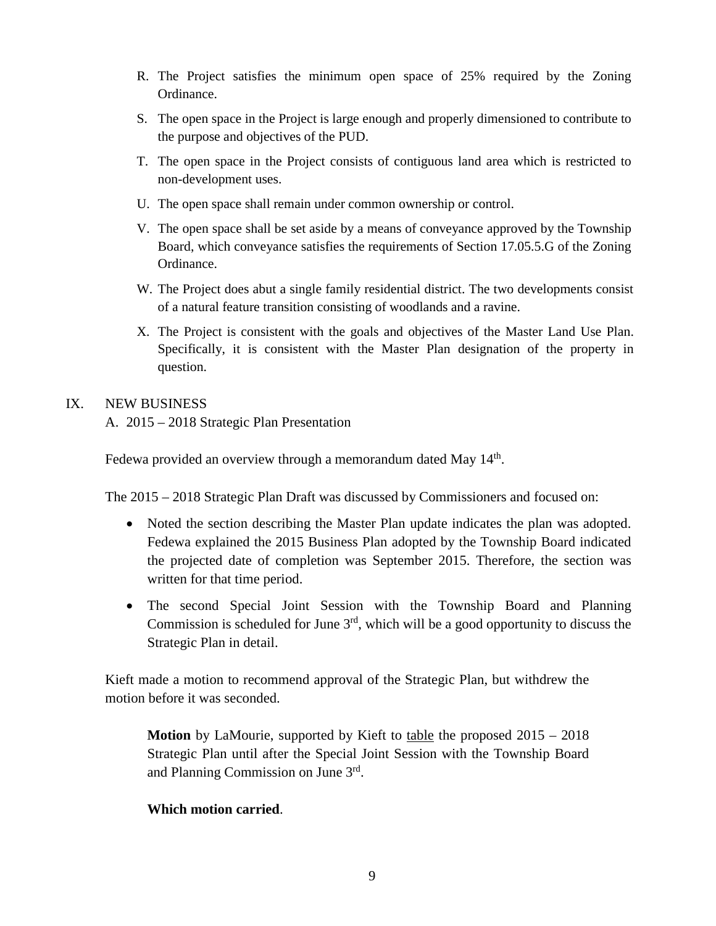- R. The Project satisfies the minimum open space of 25% required by the Zoning Ordinance.
- S. The open space in the Project is large enough and properly dimensioned to contribute to the purpose and objectives of the PUD.
- T. The open space in the Project consists of contiguous land area which is restricted to non-development uses.
- U. The open space shall remain under common ownership or control.
- V. The open space shall be set aside by a means of conveyance approved by the Township Board, which conveyance satisfies the requirements of Section 17.05.5.G of the Zoning Ordinance.
- W. The Project does abut a single family residential district. The two developments consist of a natural feature transition consisting of woodlands and a ravine.
- X. The Project is consistent with the goals and objectives of the Master Land Use Plan. Specifically, it is consistent with the Master Plan designation of the property in question.

## IX. NEW BUSINESS

A. 2015 – 2018 Strategic Plan Presentation

Fedewa provided an overview through a memorandum dated May  $14<sup>th</sup>$ .

The 2015 – 2018 Strategic Plan Draft was discussed by Commissioners and focused on:

- Noted the section describing the Master Plan update indicates the plan was adopted. Fedewa explained the 2015 Business Plan adopted by the Township Board indicated the projected date of completion was September 2015. Therefore, the section was written for that time period.
- The second Special Joint Session with the Township Board and Planning Commission is scheduled for June  $3<sup>rd</sup>$ , which will be a good opportunity to discuss the Strategic Plan in detail.

Kieft made a motion to recommend approval of the Strategic Plan, but withdrew the motion before it was seconded.

**Motion** by LaMourie, supported by Kieft to table the proposed 2015 – 2018 Strategic Plan until after the Special Joint Session with the Township Board and Planning Commission on June 3rd.

## **Which motion carried**.